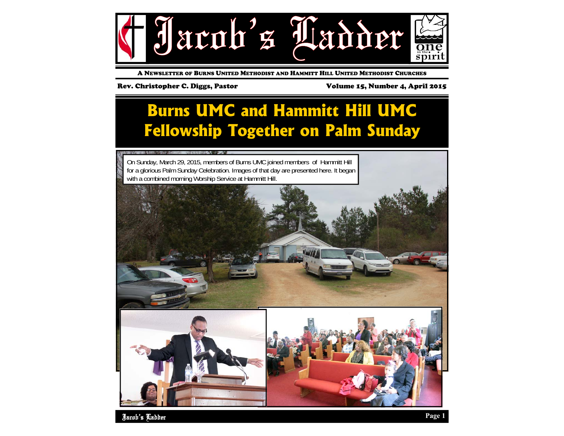

A NEWSLETTER OF BURNS UNITED METHODIST AND HAMMITT HILL UNITED METHODIST CHURCHES

### Rev. Christopher C. Diggs, Pastor Volume 15, Number 4, April 2015

# **Burns UMC and Hammitt Hill UMC Fellowship Together on Palm Sunday**



Jacob's Ladder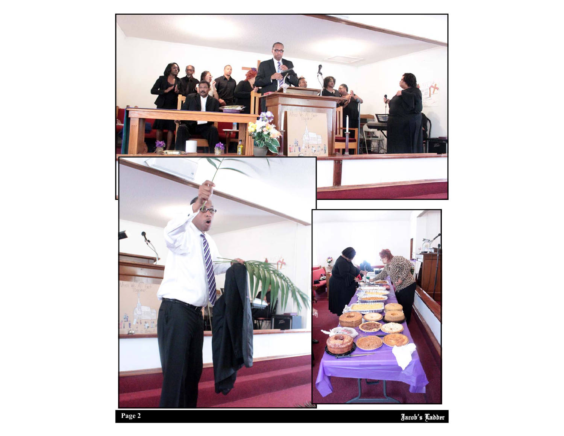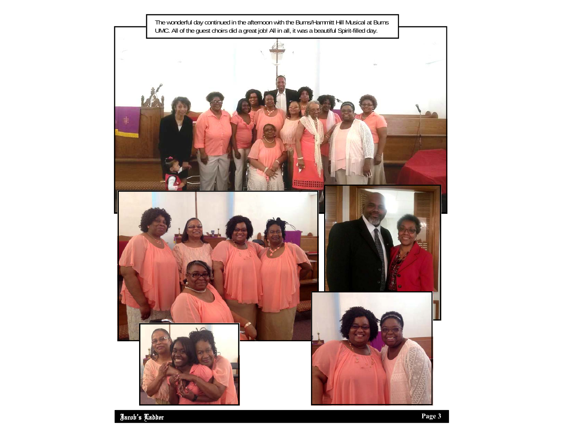